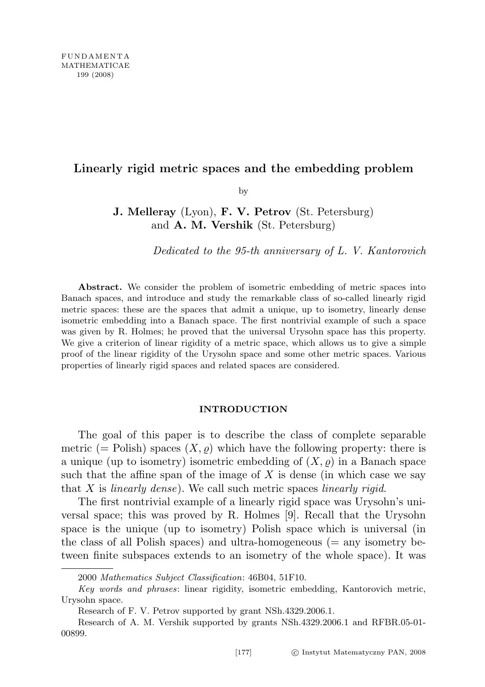## Linearly rigid metric spaces and the embedding problem

by

J. Melleray (Lyon), F. V. Petrov (St. Petersburg) and A. M. Vershik (St. Petersburg)

Dedicated to the 95-th anniversary of L. V. Kantorovich

Abstract. We consider the problem of isometric embedding of metric spaces into Banach spaces, and introduce and study the remarkable class of so-called linearly rigid metric spaces: these are the spaces that admit a unique, up to isometry, linearly dense isometric embedding into a Banach space. The first nontrivial example of such a space was given by R. Holmes; he proved that the universal Urysohn space has this property. We give a criterion of linear rigidity of a metric space, which allows us to give a simple proof of the linear rigidity of the Urysohn space and some other metric spaces. Various properties of linearly rigid spaces and related spaces are considered.

#### INTRODUCTION

The goal of this paper is to describe the class of complete separable metric (= Polish) spaces  $(X, \rho)$  which have the following property: there is a unique (up to isometry) isometric embedding of  $(X, \rho)$  in a Banach space such that the affine span of the image of  $X$  is dense (in which case we say that  $X$  is *linearly dense*). We call such metric spaces *linearly rigid.* 

The first nontrivial example of a linearly rigid space was Urysohn's universal space; this was proved by R. Holmes [9]. Recall that the Urysohn space is the unique (up to isometry) Polish space which is universal (in the class of all Polish spaces) and ultra-homogeneous  $(=$  any isometry between finite subspaces extends to an isometry of the whole space). It was

<sup>2000</sup> Mathematics Subject Classification: 46B04, 51F10.

Key words and phrases: linear rigidity, isometric embedding, Kantorovich metric, Urysohn space.

Research of F. V. Petrov supported by grant NSh.4329.2006.1.

Research of A. M. Vershik supported by grants NSh.4329.2006.1 and RFBR.05-01- 00899.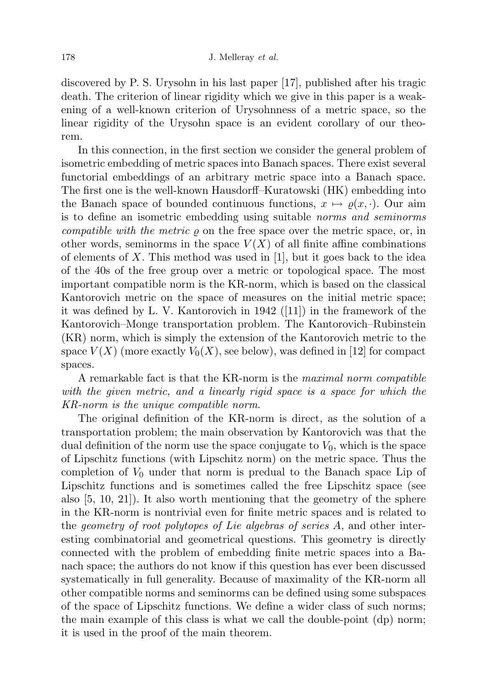discovered by P. S. Urysohn in his last paper [17], published after his tragic death. The criterion of linear rigidity which we give in this paper is a weakening of a well-known criterion of Urysohnness of a metric space, so the linear rigidity of the Urysohn space is an evident corollary of our theorem.

In this connection, in the first section we consider the general problem of isometric embedding of metric spaces into Banach spaces. There exist several functorial embeddings of an arbitrary metric space into a Banach space. The first one is the well-known Hausdorff–Kuratowski (HK) embedding into the Banach space of bounded continuous functions,  $x \mapsto \rho(x, \cdot)$ . Our aim is to define an isometric embedding using suitable norms and seminorms *compatible with the metric*  $\varrho$  on the free space over the metric space, or, in other words, seminorms in the space  $V(X)$  of all finite affine combinations of elements of X. This method was used in [1], but it goes back to the idea of the 40s of the free group over a metric or topological space. The most important compatible norm is the KR-norm, which is based on the classical Kantorovich metric on the space of measures on the initial metric space; it was defined by L. V. Kantorovich in 1942 ([11]) in the framework of the Kantorovich–Monge transportation problem. The Kantorovich–Rubinstein (KR) norm, which is simply the extension of the Kantorovich metric to the space  $V(X)$  (more exactly  $V_0(X)$ , see below), was defined in [12] for compact spaces.

A remarkable fact is that the KR-norm is the maximal norm compatible with the given metric, and a linearly rigid space is a space for which the KR-norm is the unique compatible norm.

The original definition of the KR-norm is direct, as the solution of a transportation problem; the main observation by Kantorovich was that the dual definition of the norm use the space conjugate to  $V_0$ , which is the space of Lipschitz functions (with Lipschitz norm) on the metric space. Thus the completion of  $V_0$  under that norm is predual to the Banach space Lip of Lipschitz functions and is sometimes called the free Lipschitz space (see also [5, 10, 21]). It also worth mentioning that the geometry of the sphere in the KR-norm is nontrivial even for finite metric spaces and is related to the geometry of root polytopes of Lie algebras of series A, and other interesting combinatorial and geometrical questions. This geometry is directly connected with the problem of embedding finite metric spaces into a Banach space; the authors do not know if this question has ever been discussed systematically in full generality. Because of maximality of the KR-norm all other compatible norms and seminorms can be defined using some subspaces of the space of Lipschitz functions. We define a wider class of such norms; the main example of this class is what we call the double-point (dp) norm; it is used in the proof of the main theorem.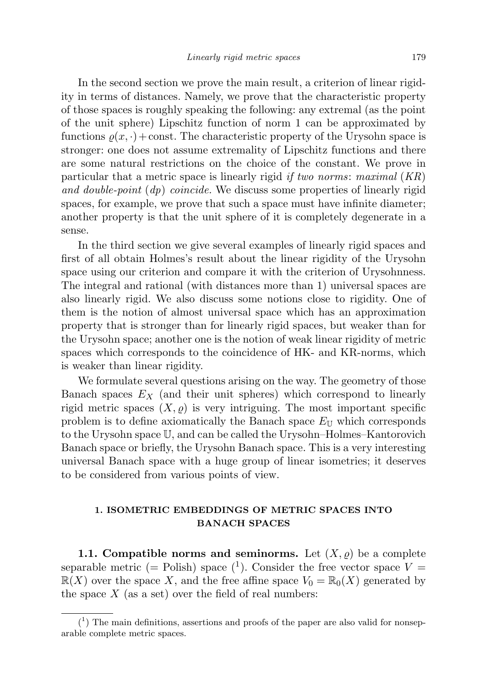In the second section we prove the main result, a criterion of linear rigidity in terms of distances. Namely, we prove that the characteristic property of those spaces is roughly speaking the following: any extremal (as the point of the unit sphere) Lipschitz function of norm 1 can be approximated by functions  $\rho(x, \cdot)$  + const. The characteristic property of the Urysohn space is stronger: one does not assume extremality of Lipschitz functions and there are some natural restrictions on the choice of the constant. We prove in particular that a metric space is linearly rigid if two norms: maximal  $(KR)$ and double-point  $(dp)$  coincide. We discuss some properties of linearly rigid spaces, for example, we prove that such a space must have infinite diameter; another property is that the unit sphere of it is completely degenerate in a sense.

In the third section we give several examples of linearly rigid spaces and first of all obtain Holmes's result about the linear rigidity of the Urysohn space using our criterion and compare it with the criterion of Urysohnness. The integral and rational (with distances more than 1) universal spaces are also linearly rigid. We also discuss some notions close to rigidity. One of them is the notion of almost universal space which has an approximation property that is stronger than for linearly rigid spaces, but weaker than for the Urysohn space; another one is the notion of weak linear rigidity of metric spaces which corresponds to the coincidence of HK- and KR-norms, which is weaker than linear rigidity.

We formulate several questions arising on the way. The geometry of those Banach spaces  $E<sub>X</sub>$  (and their unit spheres) which correspond to linearly rigid metric spaces  $(X, \rho)$  is very intriguing. The most important specific problem is to define axiomatically the Banach space  $E_{\text{U}}$  which corresponds to the Urysohn space U, and can be called the Urysohn–Holmes–Kantorovich Banach space or briefly, the Urysohn Banach space. This is a very interesting universal Banach space with a huge group of linear isometries; it deserves to be considered from various points of view.

## 1. ISOMETRIC EMBEDDINGS OF METRIC SPACES INTO BANACH SPACES

1.1. Compatible norms and seminorms. Let  $(X, \varrho)$  be a complete separable metric (= Polish) space  $(1)$ . Consider the free vector space  $V =$  $\mathbb{R}(X)$  over the space X, and the free affine space  $V_0 = \mathbb{R}_0(X)$  generated by the space  $X$  (as a set) over the field of real numbers:

 $(1)$  The main definitions, assertions and proofs of the paper are also valid for nonseparable complete metric spaces.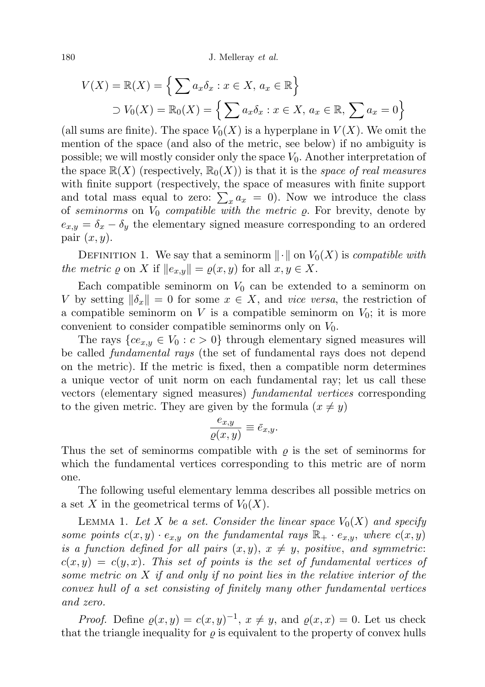180 J. Melleray *et al.* 

$$
V(X) = \mathbb{R}(X) = \left\{ \sum a_x \delta_x : x \in X, a_x \in \mathbb{R} \right\}
$$
  

$$
\supset V_0(X) = \mathbb{R}_0(X) = \left\{ \sum a_x \delta_x : x \in X, a_x \in \mathbb{R}, \sum a_x = 0 \right\}
$$

(all sums are finite). The space  $V_0(X)$  is a hyperplane in  $V(X)$ . We omit the mention of the space (and also of the metric, see below) if no ambiguity is possible; we will mostly consider only the space  $V_0$ . Another interpretation of the space  $\mathbb{R}(X)$  (respectively,  $\mathbb{R}_0(X)$ ) is that it is the space of real measures with finite support (respectively, the space of measures with finite support and total mass equal to zero:  $\sum_{x} a_x = 0$ . Now we introduce the class of seminorms on  $V_0$  compatible with the metric  $\rho$ . For brevity, denote by  $e_{x,y} = \delta_x - \delta_y$  the elementary signed measure corresponding to an ordered pair  $(x, y)$ .

DEFINITION 1. We say that a seminorm  $\|\cdot\|$  on  $V_0(X)$  is *compatible with* the metric  $\varrho$  on X if  $||e_{x,y}|| = \varrho(x, y)$  for all  $x, y \in X$ .

Each compatible seminorm on  $V_0$  can be extended to a seminorm on V by setting  $\|\delta_x\| = 0$  for some  $x \in X$ , and vice versa, the restriction of a compatible seminorm on V is a compatible seminorm on  $V_0$ ; it is more convenient to consider compatible seminorms only on  $V_0$ .

The rays  ${ce_{x,y} \in V_0 : c > 0}$  through elementary signed measures will be called fundamental rays (the set of fundamental rays does not depend on the metric). If the metric is fixed, then a compatible norm determines a unique vector of unit norm on each fundamental ray; let us call these vectors (elementary signed measures) fundamental vertices corresponding to the given metric. They are given by the formula  $(x \neq y)$ 

$$
\frac{e_{x,y}}{\varrho(x,y)} \equiv \bar{e}_{x,y}.
$$

Thus the set of seminorms compatible with  $\rho$  is the set of seminorms for which the fundamental vertices corresponding to this metric are of norm one.

The following useful elementary lemma describes all possible metrics on a set X in the geometrical terms of  $V_0(X)$ .

LEMMA 1. Let X be a set. Consider the linear space  $V_0(X)$  and specify some points  $c(x, y) \cdot e_{x,y}$  on the fundamental rays  $\mathbb{R}_{+} \cdot e_{x,y}$ , where  $c(x, y)$ is a function defined for all pairs  $(x, y)$ ,  $x \neq y$ , positive, and symmetric:  $c(x, y) = c(y, x)$ . This set of points is the set of fundamental vertices of some metric on X if and only if no point lies in the relative interior of the convex hull of a set consisting of finitely many other fundamental vertices and zero.

*Proof.* Define  $\varrho(x, y) = c(x, y)^{-1}$ ,  $x \neq y$ , and  $\varrho(x, x) = 0$ . Let us check that the triangle inequality for  $\rho$  is equivalent to the property of convex hulls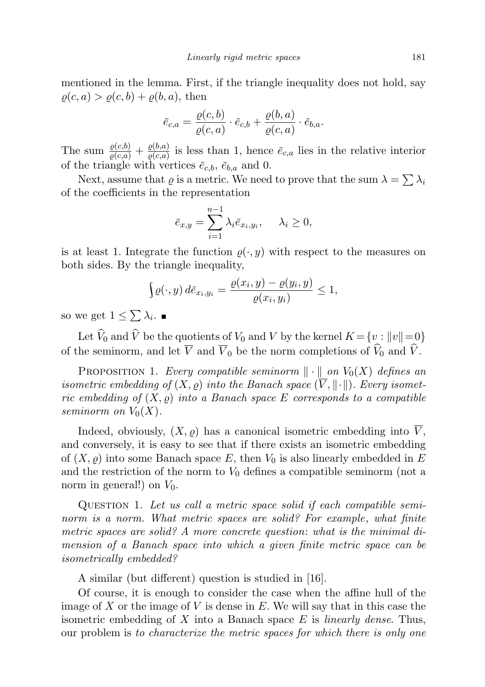mentioned in the lemma. First, if the triangle inequality does not hold, say  $\rho(c, a) > \rho(c, b) + \rho(b, a)$ , then

$$
\bar{e}_{c,a} = \frac{\varrho(c,b)}{\varrho(c,a)} \cdot \bar{e}_{c,b} + \frac{\varrho(b,a)}{\varrho(c,a)} \cdot \bar{e}_{b,a}.
$$

The sum  $\frac{\varrho(c,b)}{\varrho(c,a)} + \frac{\varrho(b,a)}{\varrho(c,a)}$  $\frac{\rho(0,a)}{\rho(c,a)}$  is less than 1, hence  $\bar{e}_{c,a}$  lies in the relative interior of the triangle with vertices  $\bar{e}_{c,b}$ ,  $\bar{e}_{b,a}$  and 0.

Next, assume that  $\varrho$  is a metric. We need to prove that the sum  $\lambda = \sum \lambda_i$ of the coefficients in the representation

$$
\bar{e}_{x,y} = \sum_{i=1}^{n-1} \lambda_i \bar{e}_{x_i,y_i}, \quad \lambda_i \ge 0,
$$

is at least 1. Integrate the function  $\rho(\cdot, y)$  with respect to the measures on both sides. By the triangle inequality,

$$
\int \varrho(\cdot, y) d\bar{e}_{x_i, y_i} = \frac{\varrho(x_i, y) - \varrho(y_i, y)}{\varrho(x_i, y_i)} \le 1,
$$

so we get  $1 \leq \sum \lambda_i$ .

Let  $\widehat{V}_0$  and  $\widehat{V}$  be the quotients of  $V_0$  and V by the kernel  $K = \{v : ||v|| = 0\}$ of the seminorm, and let  $\overline{V}$  and  $\overline{V}_0$  be the norm completions of  $\widehat{V}_0$  and  $\widehat{V}$ .

PROPOSITION 1. Every compatible seminorm  $\|\cdot\|$  on  $V_0(X)$  defines an isometric embedding of  $(X, \rho)$  into the Banach space  $(V, \|\cdot\|)$ . Every isometric embedding of  $(X, \rho)$  into a Banach space E corresponds to a compatible seminorm on  $V_0(X)$ .

Indeed, obviously,  $(X, \rho)$  has a canonical isometric embedding into  $\overline{V}$ , and conversely, it is easy to see that if there exists an isometric embedding of  $(X, \varrho)$  into some Banach space E, then  $V_0$  is also linearly embedded in E and the restriction of the norm to  $V_0$  defines a compatible seminorm (not a norm in general!) on  $V_0$ .

Question 1. Let us call a metric space solid if each compatible seminorm is a norm. What metric spaces are solid? For example, what finite metric spaces are solid? A more concrete question: what is the minimal dimension of a Banach space into which a given finite metric space can be isometrically embedded?

A similar (but different) question is studied in [16].

Of course, it is enough to consider the case when the affine hull of the image of X or the image of V is dense in  $E$ . We will say that in this case the isometric embedding of X into a Banach space  $E$  is *linearly dense*. Thus, our problem is to characterize the metric spaces for which there is only one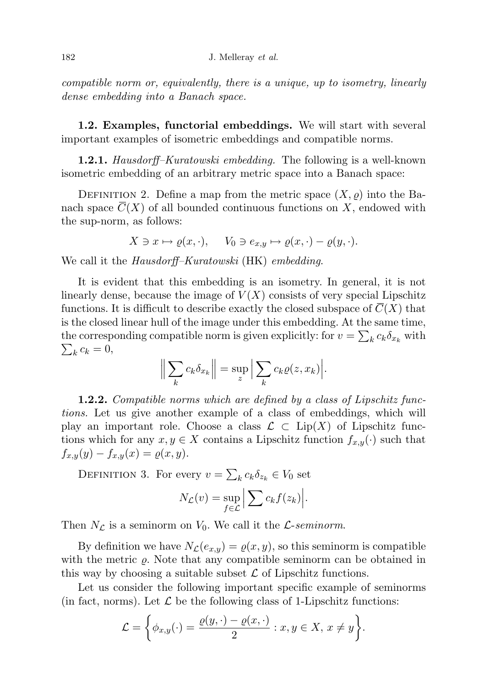compatible norm or, equivalently, there is a unique, up to isometry, linearly dense embedding into a Banach space.

1.2. Examples, functorial embeddings. We will start with several important examples of isometric embeddings and compatible norms.

**1.2.1.** Hausdorff–Kuratowski embedding. The following is a well-known isometric embedding of an arbitrary metric space into a Banach space:

DEFINITION 2. Define a map from the metric space  $(X, \rho)$  into the Banach space  $\overline{C}(X)$  of all bounded continuous functions on X, endowed with the sup-norm, as follows:

$$
X \ni x \mapsto \varrho(x, \cdot), \quad V_0 \ni e_{x,y} \mapsto \varrho(x, \cdot) - \varrho(y, \cdot).
$$

We call it the *Hausdorff–Kuratowski* (HK) *embedding*.

It is evident that this embedding is an isometry. In general, it is not linearly dense, because the image of  $V(X)$  consists of very special Lipschitz functions. It is difficult to describe exactly the closed subspace of  $C(X)$  that is the closed linear hull of the image under this embedding. At the same time, the corresponding compatible norm is given explicitly: for  $v = \sum_k c_k \delta_{x_k}$  with  $\sum_k c_k = 0,$ 

$$
\left\| \sum_{k} c_{k} \delta_{x_{k}} \right\| = \sup_{z} \left| \sum_{k} c_{k} \varrho(z, x_{k}) \right|.
$$

**1.2.2.** Compatible norms which are defined by a class of Lipschitz functions. Let us give another example of a class of embeddings, which will play an important role. Choose a class  $\mathcal{L} \subset \text{Lip}(X)$  of Lipschitz functions which for any  $x, y \in X$  contains a Lipschitz function  $f_{x,y}(\cdot)$  such that  $f_{x,y}(y) - f_{x,y}(x) = \varrho(x, y).$ 

DEFINITION 3. For every  $v = \sum_k c_k \delta_{z_k} \in V_0$  set  $N_{\mathcal{L}}(v) = \sup_{f \in \mathcal{L}}$  $\left|\sum c_k f(z_k)\right|.$ 

Then  $N_{\mathcal{L}}$  is a seminorm on  $V_0$ . We call it the *L*-seminorm.

By definition we have  $N_{\mathcal{L}}(e_{x,y}) = \varrho(x, y)$ , so this seminorm is compatible with the metric  $\rho$ . Note that any compatible seminorm can be obtained in this way by choosing a suitable subset  $\mathcal L$  of Lipschitz functions.

Let us consider the following important specific example of seminorms (in fact, norms). Let  $\mathcal L$  be the following class of 1-Lipschitz functions:

$$
\mathcal{L} = \left\{ \phi_{x,y}(\cdot) = \frac{\varrho(y, \cdot) - \varrho(x, \cdot)}{2} : x, y \in X, x \neq y \right\}.
$$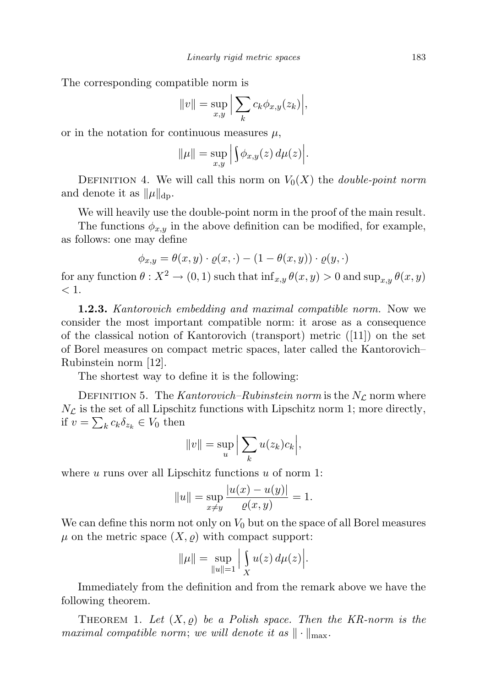The corresponding compatible norm is

$$
||v|| = \sup_{x,y} \Big| \sum_{k} c_k \phi_{x,y}(z_k) \Big|,
$$

or in the notation for continuous measures  $\mu$ ,

$$
\|\mu\| = \sup_{x,y} \Big| \int \phi_{x,y}(z) \, d\mu(z) \Big|.
$$

DEFINITION 4. We will call this norm on  $V_0(X)$  the *double-point norm* and denote it as  $\|\mu\|_{\text{dp}}$ .

We will heavily use the double-point norm in the proof of the main result.

The functions  $\phi_{x,y}$  in the above definition can be modified, for example, as follows: one may define

$$
\phi_{x,y} = \theta(x,y) \cdot \varrho(x,\cdot) - (1 - \theta(x,y)) \cdot \varrho(y,\cdot)
$$

for any function  $\theta: X^2 \to (0, 1)$  such that  $\inf_{x,y} \theta(x, y) > 0$  and  $\sup_{x,y} \theta(x, y)$  $< 1$ .

1.2.3. Kantorovich embedding and maximal compatible norm. Now we consider the most important compatible norm: it arose as a consequence of the classical notion of Kantorovich (transport) metric ([11]) on the set of Borel measures on compact metric spaces, later called the Kantorovich– Rubinstein norm [12].

The shortest way to define it is the following:

DEFINITION 5. The Kantorovich–Rubinstein norm is the  $N_{\mathcal{L}}$  norm where  $N_{\mathcal{L}}$  is the set of all Lipschitz functions with Lipschitz norm 1; more directly, if  $v = \sum_k c_k \delta_{z_k} \in V_0$  then

$$
||v|| = \sup_{u} \Big| \sum_{k} u(z_k)c_k \Big|,
$$

where  $u$  runs over all Lipschitz functions  $u$  of norm 1:

$$
||u|| = \sup_{x \neq y} \frac{|u(x) - u(y)|}{\varrho(x, y)} = 1.
$$

We can define this norm not only on  $V_0$  but on the space of all Borel measures  $\mu$  on the metric space  $(X, \rho)$  with compact support:

$$
\|\mu\| = \sup_{\|u\|=1} \Big| \int_{X} u(z) \, d\mu(z) \Big|.
$$

Immediately from the definition and from the remark above we have the following theorem.

THEOREM 1. Let  $(X, \varrho)$  be a Polish space. Then the KR-norm is the maximal compatible norm; we will denote it as  $\|\cdot\|_{\max}$ .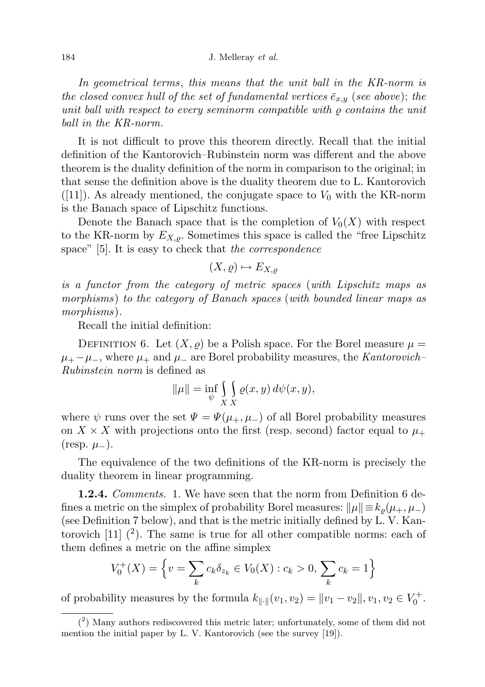In geometrical terms, this means that the unit ball in the KR-norm is the closed convex hull of the set of fundamental vertices  $\bar{e}_{x,y}$  (see above); the unit ball with respect to every seminorm compatible with  $\rho$  contains the unit ball in the KR-norm.

It is not difficult to prove this theorem directly. Recall that the initial definition of the Kantorovich–Rubinstein norm was different and the above theorem is the duality definition of the norm in comparison to the original; in that sense the definition above is the duality theorem due to L. Kantorovich  $([11])$ . As already mentioned, the conjugate space to  $V_0$  with the KR-norm is the Banach space of Lipschitz functions.

Denote the Banach space that is the completion of  $V_0(X)$  with respect to the KR-norm by  $E_{X,\rho}$ . Sometimes this space is called the "free Lipschitz" space" [5]. It is easy to check that the correspondence

$$
(X,\varrho)\mapsto E_{X,\varrho}
$$

is a functor from the category of metric spaces (with Lipschitz maps as morphisms) to the category of Banach spaces (with bounded linear maps as morphisms).

Recall the initial definition:

DEFINITION 6. Let  $(X, \rho)$  be a Polish space. For the Borel measure  $\mu =$  $\mu_+ - \mu_-,$  where  $\mu_+$  and  $\mu_-$  are Borel probability measures, the Kantorovich– Rubinstein norm is defined as

$$
\|\mu\| = \inf_{\psi} \int_{X} \int_{X} \varrho(x, y) \, d\psi(x, y),
$$

where  $\psi$  runs over the set  $\Psi = \Psi(\mu_+, \mu_-)$  of all Borel probability measures on  $X \times X$  with projections onto the first (resp. second) factor equal to  $\mu_+$ (resp.  $\mu$ <sub>−</sub>).

The equivalence of the two definitions of the KR-norm is precisely the duality theorem in linear programming.

**1.2.4.** Comments. 1. We have seen that the norm from Definition 6 defines a metric on the simplex of probability Borel measures:  $\|\mu\| \equiv k_o(\mu_+, \mu_-)$ (see Definition 7 below), and that is the metric initially defined by L. V. Kantorovich  $[11]$   $(2)$ . The same is true for all other compatible norms: each of them defines a metric on the affine simplex

$$
V_0^+(X) = \left\{ v = \sum_k c_k \delta_{z_k} \in V_0(X) : c_k > 0, \sum_k c_k = 1 \right\}
$$

of probability measures by the formula  $k_{\|\cdot\|}(v_1, v_2) = \|v_1 - v_2\|, v_1, v_2 \in V_0^+$ .

<sup>(</sup> 2 ) Many authors rediscovered this metric later; unfortunately, some of them did not mention the initial paper by L. V. Kantorovich (see the survey [19]).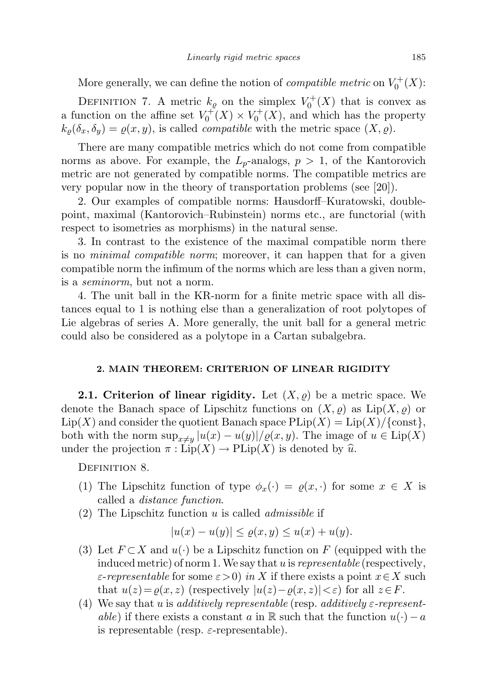More generally, we can define the notion of *compatible metric* on  $V_0^+(X)$ :

DEFINITION 7. A metric  $k_{\varrho}$  on the simplex  $V_0^+(X)$  that is convex as a function on the affine set  $V_0^+(X) \times V_0^+(X)$ , and which has the property  $k_{\rho}(\delta_x, \delta_y) = \rho(x, y)$ , is called *compatible* with the metric space  $(X, \rho)$ .

There are many compatible metrics which do not come from compatible norms as above. For example, the  $L_p$ -analogs,  $p > 1$ , of the Kantorovich metric are not generated by compatible norms. The compatible metrics are very popular now in the theory of transportation problems (see [20]).

2. Our examples of compatible norms: Hausdorff–Kuratowski, doublepoint, maximal (Kantorovich–Rubinstein) norms etc., are functorial (with respect to isometries as morphisms) in the natural sense.

3. In contrast to the existence of the maximal compatible norm there is no minimal compatible norm; moreover, it can happen that for a given compatible norm the infimum of the norms which are less than a given norm, is a seminorm, but not a norm.

4. The unit ball in the KR-norm for a finite metric space with all distances equal to 1 is nothing else than a generalization of root polytopes of Lie algebras of series A. More generally, the unit ball for a general metric could also be considered as a polytope in a Cartan subalgebra.

### 2. MAIN THEOREM: CRITERION OF LINEAR RIGIDITY

**2.1. Criterion of linear rigidity.** Let  $(X, \varrho)$  be a metric space. We denote the Banach space of Lipschitz functions on  $(X, \varrho)$  as  $\text{Lip}(X, \varrho)$  or  $\text{Lip}(X)$  and consider the quotient Banach space  $\text{Plip}(X) = \text{Lip}(X)/\{\text{const}\},\$ both with the norm  $\sup_{x\neq y}|u(x)-u(y)|/\varrho(x,y)$ . The image of  $u\in \text{Lip}(X)$ under the projection  $\pi : \text{Lip}(X) \to \text{PLip}(X)$  is denoted by  $\hat{u}$ .

DEFINITION 8.

- (1) The Lipschitz function of type  $\phi_x(\cdot) = \varrho(x, \cdot)$  for some  $x \in X$  is called a distance function.
- (2) The Lipschitz function u is called *admissible* if

$$
|u(x) - u(y)| \le \varrho(x, y) \le u(x) + u(y).
$$

- (3) Let  $F \subset X$  and  $u(\cdot)$  be a Lipschitz function on F (equipped with the induced metric) of norm 1. We say that u is *representable* (respectively,  $\varepsilon$ -representable for some  $\varepsilon>0$  in X if there exists a point  $x\in X$  such that  $u(z) = \varrho(x, z)$  (respectively  $|u(z) - \varrho(x, z)| < \varepsilon$ ) for all  $z \in F$ .
- (4) We say that u is additively representable (resp. additively  $\varepsilon$ -representable) if there exists a constant a in R such that the function  $u(\cdot) - a$ is representable (resp.  $\varepsilon$ -representable).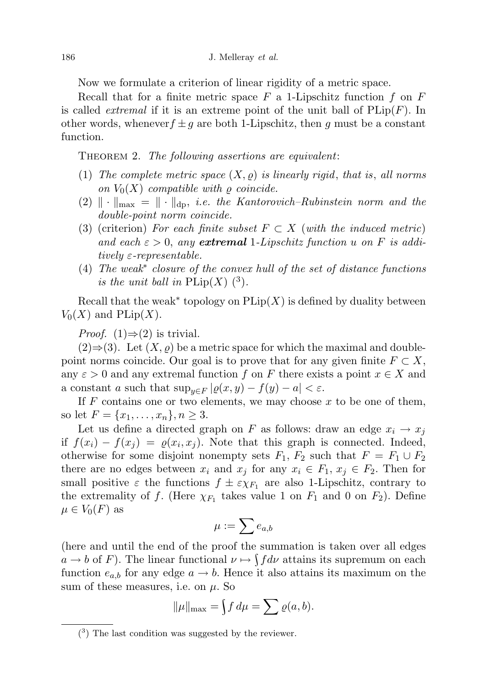Now we formulate a criterion of linear rigidity of a metric space.

Recall that for a finite metric space  $F$  a 1-Lipschitz function  $f$  on  $F$ is called *extremal* if it is an extreme point of the unit ball of  $PLip(F)$ . In other words, whenever $f \pm g$  are both 1-Lipschitz, then g must be a constant function.

THEOREM 2. The following assertions are equivalent:

- (1) The complete metric space  $(X, \rho)$  is linearly rigid, that is, all norms on  $V_0(X)$  compatible with  $\rho$  coincide.
- $(2) \| \cdot \|_{\text{max}} = \| \cdot \|_{\text{dp}}$ , i.e. the Kantorovich–Rubinstein norm and the double-point norm coincide.
- (3) (criterion) For each finite subset  $F \subset X$  (with the induced metric) and each  $\varepsilon > 0$ , any **extremal** 1-Lipschitz function u on F is additively  $\varepsilon$ -representable.
- (4) The weak<sup>∗</sup> closure of the convex hull of the set of distance functions is the unit ball in  $\text{PLip}(X)$  (<sup>3</sup>).

Recall that the weak<sup>\*</sup> topology on  $\text{PLip}(X)$  is defined by duality between  $V_0(X)$  and  $\text{PLip}(X)$ .

*Proof.* (1) $\Rightarrow$ (2) is trivial.

 $(2) \Rightarrow (3)$ . Let  $(X, \rho)$  be a metric space for which the maximal and doublepoint norms coincide. Our goal is to prove that for any given finite  $F \subset X$ , any  $\varepsilon > 0$  and any extremal function f on F there exists a point  $x \in X$  and a constant a such that  $\sup_{y \in F} |\varrho(x, y) - f(y) - a| < \varepsilon$ .

If  $F$  contains one or two elements, we may choose  $x$  to be one of them, so let  $F = \{x_1, \ldots, x_n\}, n \geq 3$ .

Let us define a directed graph on F as follows: draw an edge  $x_i \rightarrow x_j$ if  $f(x_i) - f(x_j) = \varrho(x_i, x_j)$ . Note that this graph is connected. Indeed, otherwise for some disjoint nonempty sets  $F_1, F_2$  such that  $F = F_1 \cup F_2$ there are no edges between  $x_i$  and  $x_j$  for any  $x_i \in F_1, x_j \in F_2$ . Then for small positive  $\varepsilon$  the functions  $f \pm \varepsilon \chi_{F_1}$  are also 1-Lipschitz, contrary to the extremality of f. (Here  $\chi_{F_1}$  takes value 1 on  $F_1$  and 0 on  $F_2$ ). Define  $\mu \in V_0(F)$  as

$$
\mu:=\sum e_{a,b}
$$

(here and until the end of the proof the summation is taken over all edges  $a \to b$  of F). The linear functional  $\nu \mapsto \int f d\nu$  attains its supremum on each function  $e_{a,b}$  for any edge  $a \to b$ . Hence it also attains its maximum on the sum of these measures, i.e. on  $\mu$ . So

$$
\|\mu\|_{\max} = \int f d\mu = \sum \varrho(a, b).
$$

<sup>(</sup> 3 ) The last condition was suggested by the reviewer.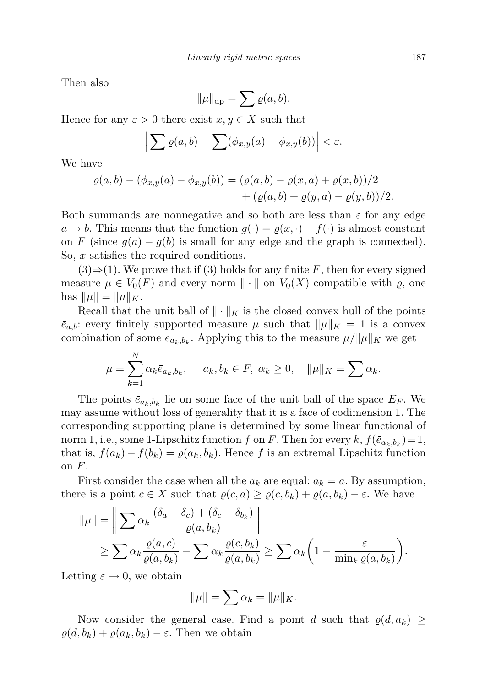Then also

$$
\|\mu\|_{\text{dp}} = \sum \varrho(a, b).
$$

Hence for any  $\varepsilon > 0$  there exist  $x, y \in X$  such that

$$
\left|\sum \varrho(a,b)-\sum (\phi_{x,y}(a)-\phi_{x,y}(b))\right|<\varepsilon.
$$

We have

$$
\varrho(a,b) - (\phi_{x,y}(a) - \phi_{x,y}(b)) = (\varrho(a,b) - \varrho(x,a) + \varrho(x,b))/2 + (\varrho(a,b) + \varrho(y,a) - \varrho(y,b))/2.
$$

Both summands are nonnegative and so both are less than  $\varepsilon$  for any edge  $a \to b$ . This means that the function  $g(\cdot) = \varrho(x, \cdot) - f(\cdot)$  is almost constant on F (since  $g(a) - g(b)$  is small for any edge and the graph is connected). So, x satisfies the required conditions.

 $(3) \Rightarrow (1)$ . We prove that if  $(3)$  holds for any finite F, then for every signed measure  $\mu \in V_0(F)$  and every norm  $\|\cdot\|$  on  $V_0(X)$  compatible with  $\varrho$ , one has  $\|\mu\| = \|\mu\|_K$ .

Recall that the unit ball of  $\|\cdot\|_K$  is the closed convex hull of the points  $\bar{e}_{a,b}$ : every finitely supported measure  $\mu$  such that  $\|\mu\|_K = 1$  is a convex combination of some  $\bar{e}_{a_k,b_k}$ . Applying this to the measure  $\mu/||\mu||_K$  we get

$$
\mu = \sum_{k=1}^N \alpha_k \bar{e}_{a_k, b_k}, \quad a_k, b_k \in F, \ \alpha_k \ge 0, \quad \|\mu\|_K = \sum \alpha_k.
$$

The points  $\bar{e}_{a_k,b_k}$  lie on some face of the unit ball of the space  $E_F$ . We may assume without loss of generality that it is a face of codimension 1. The corresponding supporting plane is determined by some linear functional of norm 1, i.e., some 1-Lipschitz function f on F. Then for every  $k$ ,  $f(\bar{e}_{a_k,b_k}) = 1$ , that is,  $f(a_k) - f(b_k) = \varrho(a_k, b_k)$ . Hence f is an extremal Lipschitz function on  $F$ .

First consider the case when all the  $a_k$  are equal:  $a_k = a$ . By assumption, there is a point  $c \in X$  such that  $\rho(c, a) \geq \rho(c, b_k) + \rho(a, b_k) - \varepsilon$ . We have

$$
\|\mu\| = \left\| \sum_{k} \alpha_k \frac{(\delta_a - \delta_c) + (\delta_c - \delta_{b_k})}{\varrho(a, b_k)} \right\|
$$
  
\n
$$
\geq \sum_{k} \alpha_k \frac{\varrho(a, c)}{\varrho(a, b_k)} - \sum_{k} \alpha_k \frac{\varrho(c, b_k)}{\varrho(a, b_k)} \geq \sum_{k} \alpha_k \left( 1 - \frac{\varepsilon}{\min_k \varrho(a, b_k)} \right).
$$

Letting  $\varepsilon \to 0$ , we obtain

$$
\|\mu\| = \sum \alpha_k = \|\mu\|_K.
$$

Now consider the general case. Find a point d such that  $\varrho(d, a_k) \geq$  $\varrho(d, b_k) + \varrho(a_k, b_k) - \varepsilon$ . Then we obtain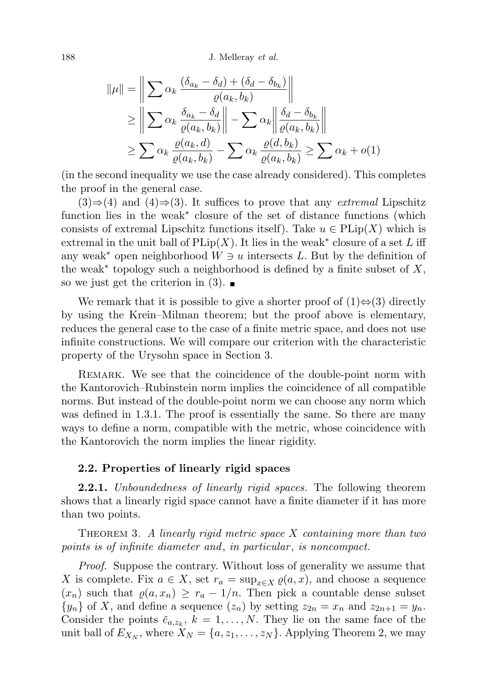188 J. Melleray *et al.* 

$$
\|\mu\| = \left\| \sum \alpha_k \frac{(\delta_{a_k} - \delta_d) + (\delta_d - \delta_{b_k})}{\varrho(a_k, b_k)} \right\|
$$
  
\n
$$
\ge \left\| \sum \alpha_k \frac{\delta_{a_k} - \delta_d}{\varrho(a_k, b_k)} \right\| - \sum \alpha_k \left\| \frac{\delta_d - \delta_{b_k}}{\varrho(a_k, b_k)} \right\|
$$
  
\n
$$
\ge \sum \alpha_k \frac{\varrho(a_k, d)}{\varrho(a_k, b_k)} - \sum \alpha_k \frac{\varrho(d, b_k)}{\varrho(a_k, b_k)} \ge \sum \alpha_k + o(1)
$$

(in the second inequality we use the case already considered). This completes the proof in the general case.

 $(3) \Rightarrow (4)$  and  $(4) \Rightarrow (3)$ . It suffices to prove that any *extremal* Lipschitz function lies in the weak<sup>∗</sup> closure of the set of distance functions (which consists of extremal Lipschitz functions itself). Take  $u \in \text{PLip}(X)$  which is extremal in the unit ball of  $\text{PLip}(X)$ . It lies in the weak<sup>\*</sup> closure of a set L iff any weak<sup>\*</sup> open neighborhood  $W \ni u$  intersects L. But by the definition of the weak<sup>\*</sup> topology such a neighborhood is defined by a finite subset of  $X$ , so we just get the criterion in  $(3)$ .

We remark that it is possible to give a shorter proof of  $(1) \Leftrightarrow (3)$  directly by using the Krein–Milman theorem; but the proof above is elementary, reduces the general case to the case of a finite metric space, and does not use infinite constructions. We will compare our criterion with the characteristic property of the Urysohn space in Section 3.

REMARK. We see that the coincidence of the double-point norm with the Kantorovich–Rubinstein norm implies the coincidence of all compatible norms. But instead of the double-point norm we can choose any norm which was defined in 1.3.1. The proof is essentially the same. So there are many ways to define a norm, compatible with the metric, whose coincidence with the Kantorovich the norm implies the linear rigidity.

### 2.2. Properties of linearly rigid spaces

**2.2.1.** Unboundedness of linearly rigid spaces. The following theorem shows that a linearly rigid space cannot have a finite diameter if it has more than two points.

THEOREM 3. A linearly rigid metric space  $X$  containing more than two points is of infinite diameter and, in particular, is noncompact.

Proof. Suppose the contrary. Without loss of generality we assume that X is complete. Fix  $a \in X$ , set  $r_a = \sup_{x \in X} \varrho(a, x)$ , and choose a sequence  $(x_n)$  such that  $\varrho(a, x_n) \geq r_a - 1/n$ . Then pick a countable dense subset  $\{y_n\}$  of X, and define a sequence  $(z_n)$  by setting  $z_{2n} = x_n$  and  $z_{2n+1} = y_n$ . Consider the points  $\bar{e}_{a,z_k}$ ,  $k = 1, \ldots, N$ . They lie on the same face of the unit ball of  $E_{X_N}$ , where  $X_N = \{a, z_1, \ldots, z_N\}$ . Applying Theorem 2, we may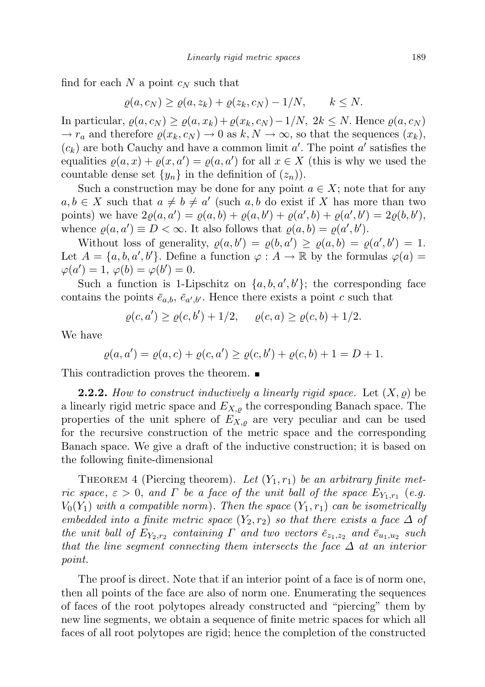find for each N a point  $c_N$  such that

$$
\varrho(a,c_N) \ge \varrho(a,z_k) + \varrho(z_k,c_N) - 1/N, \qquad k \le N.
$$

In particular,  $\varrho(a, c_N) \geq \varrho(a, x_k) + \varrho(x_k, c_N) - 1/N$ ,  $2k \leq N$ . Hence  $\varrho(a, c_N)$  $\rightarrow r_a$  and therefore  $\varrho(x_k, c_N) \rightarrow 0$  as  $k, N \rightarrow \infty$ , so that the sequences  $(x_k)$ ,  $(c_k)$  are both Cauchy and have a common limit  $a'$ . The point  $a'$  satisfies the equalities  $\varrho(a, x) + \varrho(x, a') = \varrho(a, a')$  for all  $x \in X$  (this is why we used the countable dense set  $\{y_n\}$  in the definition of  $(z_n)$ .

Such a construction may be done for any point  $a \in X$ ; note that for any  $a, b \in X$  such that  $a \neq b \neq a'$  (such  $a, b$  do exist if X has more than two points) we have  $2\varrho(a, a') = \varrho(a, b) + \varrho(a, b') + \varrho(a', b) + \varrho(a', b') = 2\varrho(b, b'),$ whence  $\varrho(a, a') \equiv D < \infty$ . It also follows that  $\varrho(a, b) = \varrho(a', b')$ .

Without loss of generality,  $\varrho(a, b') = \varrho(b, a') \geq \varrho(a, b) = \varrho(a', b') = 1$ . Let  $A = \{a, b, a', b'\}$ . Define a function  $\varphi : A \to \mathbb{R}$  by the formulas  $\varphi(a) =$  $\varphi(a') = 1, \varphi(b) = \varphi(b') = 0.$ 

Such a function is 1-Lipschitz on  $\{a, b, a', b'\}$ ; the corresponding face contains the points  $\bar{e}_{a,b}, \bar{e}_{a',b'}$ . Hence there exists a point c such that

$$
\varrho(c, a') \ge \varrho(c, b') + 1/2, \quad \varrho(c, a) \ge \varrho(c, b) + 1/2.
$$

We have

$$
\varrho(a, a') = \varrho(a, c) + \varrho(c, a') \ge \varrho(c, b') + \varrho(c, b) + 1 = D + 1.
$$

This contradiction proves the theorem.

**2.2.2.** How to construct inductively a linearly rigid space. Let  $(X, \rho)$  be a linearly rigid metric space and  $E_{X,\rho}$  the corresponding Banach space. The properties of the unit sphere of  $E_{X,\rho}$  are very peculiar and can be used for the recursive construction of the metric space and the corresponding Banach space. We give a draft of the inductive construction; it is based on the following finite-dimensional

THEOREM 4 (Piercing theorem). Let  $(Y_1, r_1)$  be an arbitrary finite metric space,  $\varepsilon > 0$ , and  $\Gamma$  be a face of the unit ball of the space  $E_{Y_1,r_1}$  (e.g.  $V_0(Y_1)$  with a compatible norm). Then the space  $(Y_1, r_1)$  can be isometrically embedded into a finite metric space  $(Y_2, r_2)$  so that there exists a face  $\Delta$  of the unit ball of  $E_{Y_2,r_2}$  containing  $\Gamma$  and two vectors  $\bar{e}_{z_1,z_2}$  and  $\bar{e}_{u_1,u_2}$  such that the line segment connecting them intersects the face  $\Delta$  at an interior point.

The proof is direct. Note that if an interior point of a face is of norm one, then all points of the face are also of norm one. Enumerating the sequences of faces of the root polytopes already constructed and "piercing" them by new line segments, we obtain a sequence of finite metric spaces for which all faces of all root polytopes are rigid; hence the completion of the constructed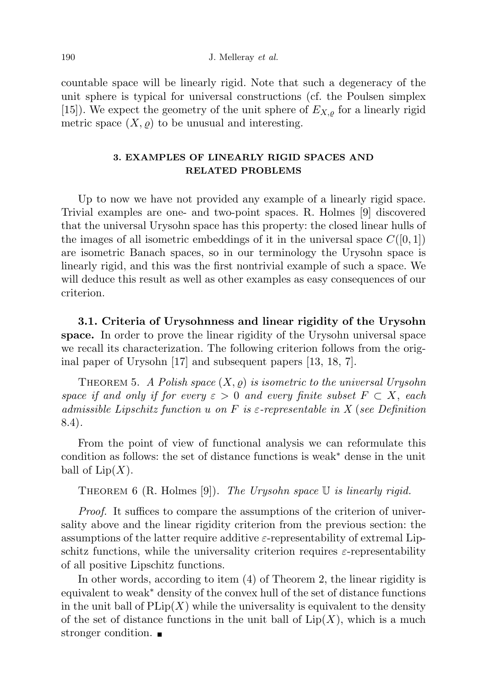countable space will be linearly rigid. Note that such a degeneracy of the unit sphere is typical for universal constructions (cf. the Poulsen simplex [15]). We expect the geometry of the unit sphere of  $E_{X,\varrho}$  for a linearly rigid metric space  $(X, \rho)$  to be unusual and interesting.

# 3. EXAMPLES OF LINEARLY RIGID SPACES AND RELATED PROBLEMS

Up to now we have not provided any example of a linearly rigid space. Trivial examples are one- and two-point spaces. R. Holmes [9] discovered that the universal Urysohn space has this property: the closed linear hulls of the images of all isometric embeddings of it in the universal space  $C([0, 1])$ are isometric Banach spaces, so in our terminology the Urysohn space is linearly rigid, and this was the first nontrivial example of such a space. We will deduce this result as well as other examples as easy consequences of our criterion.

3.1. Criteria of Urysohnness and linear rigidity of the Urysohn space. In order to prove the linear rigidity of the Urysohn universal space we recall its characterization. The following criterion follows from the original paper of Urysohn [17] and subsequent papers [13, 18, 7].

THEOREM 5. A Polish space  $(X, \varrho)$  is isometric to the universal Urysohn space if and only if for every  $\varepsilon > 0$  and every finite subset  $F \subset X$ , each admissible Lipschitz function u on F is  $\varepsilon$ -representable in X (see Definition 8.4).

From the point of view of functional analysis we can reformulate this condition as follows: the set of distance functions is weak<sup>∗</sup> dense in the unit ball of  $\text{Lip}(X)$ .

THEOREM 6 (R. Holmes [9]). The Urysohn space  $\mathbb U$  is linearly rigid.

Proof. It suffices to compare the assumptions of the criterion of universality above and the linear rigidity criterion from the previous section: the assumptions of the latter require additive  $\varepsilon$ -representability of extremal Lipschitz functions, while the universality criterion requires  $\varepsilon$ -representability of all positive Lipschitz functions.

In other words, according to item (4) of Theorem 2, the linear rigidity is equivalent to weak<sup>∗</sup> density of the convex hull of the set of distance functions in the unit ball of  $\text{PLip}(X)$  while the universality is equivalent to the density of the set of distance functions in the unit ball of  $Lip(X)$ , which is a much stronger condition.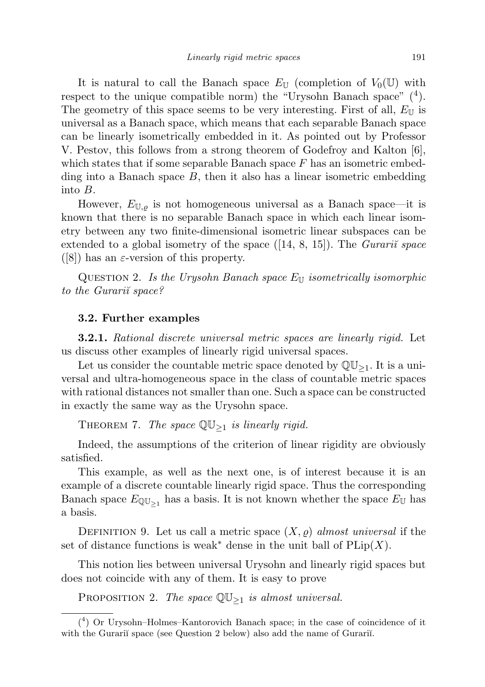It is natural to call the Banach space  $E_{\mathbb{U}}$  (completion of  $V_0(\mathbb{U})$  with respect to the unique compatible norm) the "Urysohn Banach space"  $(4)$ . The geometry of this space seems to be very interesting. First of all,  $E_{\mathbb{U}}$  is universal as a Banach space, which means that each separable Banach space can be linearly isometrically embedded in it. As pointed out by Professor V. Pestov, this follows from a strong theorem of Godefroy and Kalton [6], which states that if some separable Banach space  $F$  has an isometric embedding into a Banach space  $B$ , then it also has a linear isometric embedding into B.

However,  $E_{\mathbb{U},\rho}$  is not homogeneous universal as a Banach space—it is known that there is no separable Banach space in which each linear isometry between any two finite-dimensional isometric linear subspaces can be extended to a global isometry of the space  $([14, 8, 15])$ . The *Gurari* space ([8]) has an  $\varepsilon$ -version of this property.

QUESTION 2. Is the Urysohn Banach space  $E_U$  isometrically isomorphic to the Gurarii space?

### 3.2. Further examples

**3.2.1.** Rational discrete universal metric spaces are linearly rigid. Let us discuss other examples of linearly rigid universal spaces.

Let us consider the countable metric space denoted by  $\mathbb{QU}_{\geq 1}$ . It is a universal and ultra-homogeneous space in the class of countable metric spaces with rational distances not smaller than one. Such a space can be constructed in exactly the same way as the Urysohn space.

THEOREM 7. The space  $\mathbb{QU}_{\geq 1}$  is linearly rigid.

Indeed, the assumptions of the criterion of linear rigidity are obviously satisfied.

This example, as well as the next one, is of interest because it is an example of a discrete countable linearly rigid space. Thus the corresponding Banach space  $E_{\mathbb{Q}U_{\geq 1}}$  has a basis. It is not known whether the space  $E_{\mathbb{U}}$  has a basis.

DEFINITION 9. Let us call a metric space  $(X, \rho)$  almost universal if the set of distance functions is weak<sup>\*</sup> dense in the unit ball of  $\text{PLip}(X)$ .

This notion lies between universal Urysohn and linearly rigid spaces but does not coincide with any of them. It is easy to prove

PROPOSITION 2. The space  $\mathbb{QU}_{\geq 1}$  is almost universal.

<sup>(</sup> 4 ) Or Urysohn–Holmes–Kantorovich Banach space; in the case of coincidence of it with the Gurarii space (see Question 2 below) also add the name of Gurarii.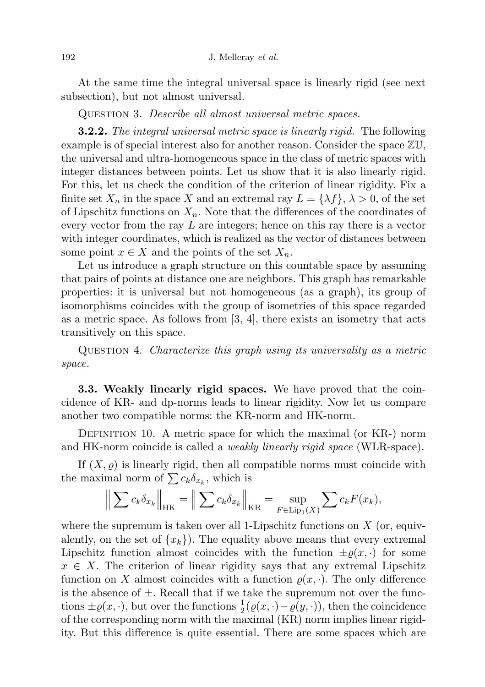At the same time the integral universal space is linearly rigid (see next subsection), but not almost universal.

QUESTION 3. Describe all almost universal metric spaces.

**3.2.2.** The integral universal metric space is linearly rigid. The following example is of special interest also for another reason. Consider the space ZU, the universal and ultra-homogeneous space in the class of metric spaces with integer distances between points. Let us show that it is also linearly rigid. For this, let us check the condition of the criterion of linear rigidity. Fix a finite set  $X_n$  in the space X and an extremal ray  $L = \{\lambda f\}, \lambda > 0$ , of the set of Lipschitz functions on  $X_n$ . Note that the differences of the coordinates of every vector from the ray  $L$  are integers; hence on this ray there is a vector with integer coordinates, which is realized as the vector of distances between some point  $x \in X$  and the points of the set  $X_n$ .

Let us introduce a graph structure on this countable space by assuming that pairs of points at distance one are neighbors. This graph has remarkable properties: it is universal but not homogeneous (as a graph), its group of isomorphisms coincides with the group of isometries of this space regarded as a metric space. As follows from [3, 4], there exists an isometry that acts transitively on this space.

Question 4. Characterize this graph using its universality as a metric space.

3.3. Weakly linearly rigid spaces. We have proved that the coincidence of KR- and dp-norms leads to linear rigidity. Now let us compare another two compatible norms: the KR-norm and HK-norm.

DEFINITION 10. A metric space for which the maximal (or KR-) norm and HK-norm coincide is called a *weakly linearly rigid space* (WLR-space).

If  $(X, \rho)$  is linearly rigid, then all compatible norms must coincide with the maximal norm of  $\sum c_k \delta_{x_k}$ , which is

$$
\left\| \sum c_k \delta_{x_k} \right\|_{HK} = \left\| \sum c_k \delta_{x_k} \right\|_{KR} = \sup_{F \in \text{Lip}_1(X)} \sum c_k F(x_k),
$$

where the supremum is taken over all 1-Lipschitz functions on  $X$  (or, equivalently, on the set of  $\{x_k\}$ . The equality above means that every extremal Lipschitz function almost coincides with the function  $\pm \varrho(x, \cdot)$  for some  $x \in X$ . The criterion of linear rigidity says that any extremal Lipschitz function on X almost coincides with a function  $\rho(x, \cdot)$ . The only difference is the absence of  $\pm$ . Recall that if we take the supremum not over the functions  $\pm \varrho(x, \cdot)$ , but over the functions  $\frac{1}{2}(\varrho(x, \cdot) - \varrho(y, \cdot))$ , then the coincidence of the corresponding norm with the maximal (KR) norm implies linear rigidity. But this difference is quite essential. There are some spaces which are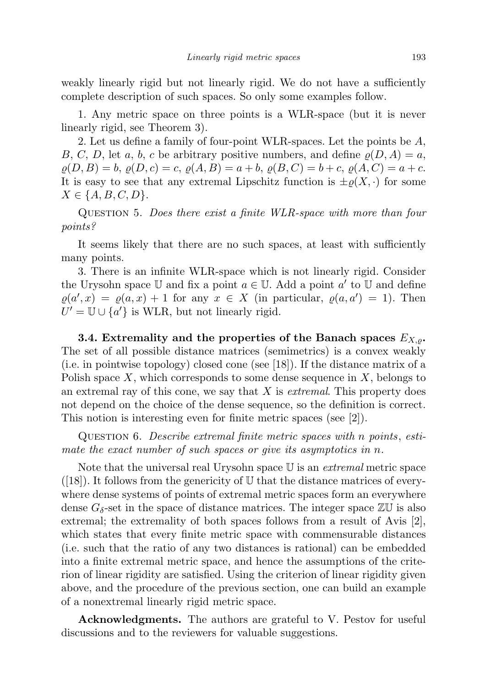weakly linearly rigid but not linearly rigid. We do not have a sufficiently complete description of such spaces. So only some examples follow.

1. Any metric space on three points is a WLR-space (but it is never linearly rigid, see Theorem 3).

2. Let us define a family of four-point WLR-spaces. Let the points be A, B, C, D, let a, b, c be arbitrary positive numbers, and define  $\rho(D, A) = a$ ,  $\varrho(D, B) = b, \varrho(D, c) = c, \varrho(A, B) = a + b, \varrho(B, C) = b + c, \varrho(A, C) = a + c.$ It is easy to see that any extremal Lipschitz function is  $\pm \rho(X, \cdot)$  for some  $X \in \{A, B, C, D\}.$ 

Question 5. Does there exist a finite WLR-space with more than four points?

It seems likely that there are no such spaces, at least with sufficiently many points.

3. There is an infinite WLR-space which is not linearly rigid. Consider the Urysohn space  $\mathbb U$  and fix a point  $a \in \mathbb U$ . Add a point  $a'$  to  $\mathbb U$  and define  $\varrho(a',x) = \varrho(a,x) + 1$  for any  $x \in X$  (in particular,  $\varrho(a,a') = 1$ ). Then  $U' = \mathbb{U} \cup \{a'\}$  is WLR, but not linearly rigid.

3.4. Extremality and the properties of the Banach spaces  $E_{X,o}$ . The set of all possible distance matrices (semimetrics) is a convex weakly (i.e. in pointwise topology) closed cone (see [18]). If the distance matrix of a Polish space  $X$ , which corresponds to some dense sequence in  $X$ , belongs to an extremal ray of this cone, we say that  $X$  is *extremal*. This property does not depend on the choice of the dense sequence, so the definition is correct. This notion is interesting even for finite metric spaces (see [2]).

Question 6. Describe extremal finite metric spaces with n points, estimate the exact number of such spaces or give its asymptotics in n.

Note that the universal real Urysohn space  $U$  is an *extremal* metric space  $([18])$ . It follows from the genericity of U that the distance matrices of everywhere dense systems of points of extremal metric spaces form an everywhere dense  $G_{\delta}$ -set in the space of distance matrices. The integer space  $\mathbb{Z}\mathbb{U}$  is also extremal; the extremality of both spaces follows from a result of Avis [2], which states that every finite metric space with commensurable distances (i.e. such that the ratio of any two distances is rational) can be embedded into a finite extremal metric space, and hence the assumptions of the criterion of linear rigidity are satisfied. Using the criterion of linear rigidity given above, and the procedure of the previous section, one can build an example of a nonextremal linearly rigid metric space.

Acknowledgments. The authors are grateful to V. Pestov for useful discussions and to the reviewers for valuable suggestions.